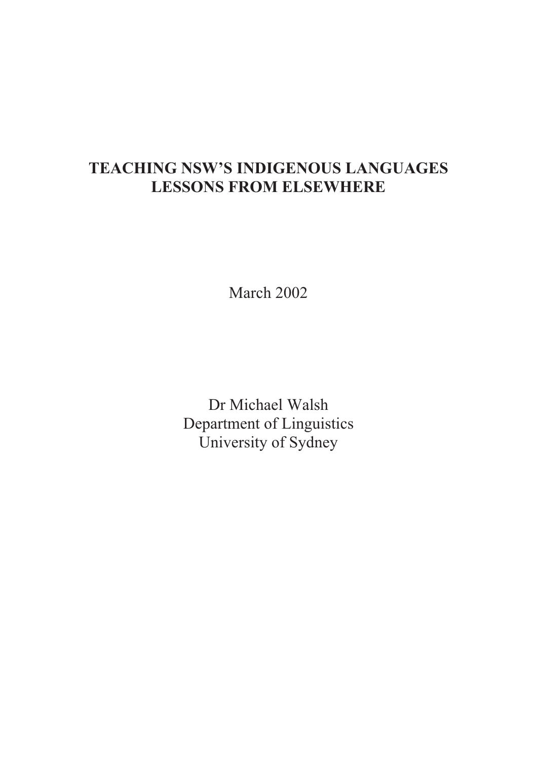# TEACHING NSW'S INDIGENOUS LANGUAGES LESSONS FROM ELSEWHERE

March 2002

Dr Michael Walsh Department of Linguistics University of Sydney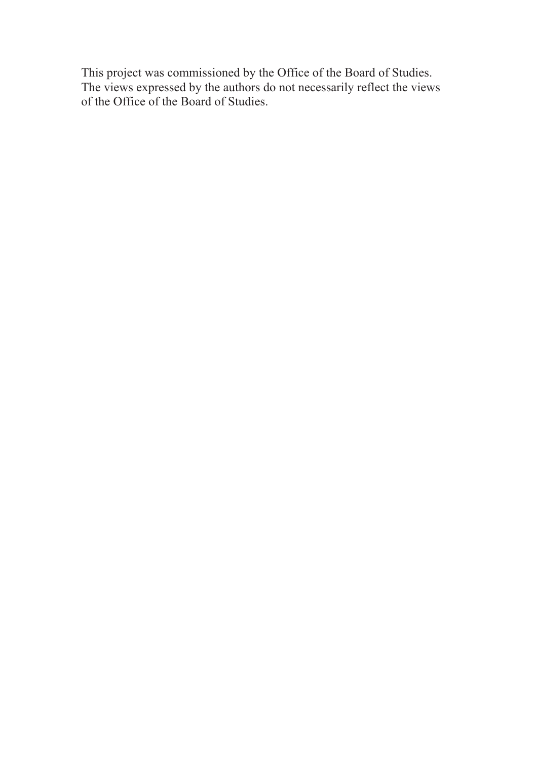This project was commissioned by the Office of the Board of Studies. The views expressed by the authors do not necessarily reflect the views of the Office of the Board of Studies.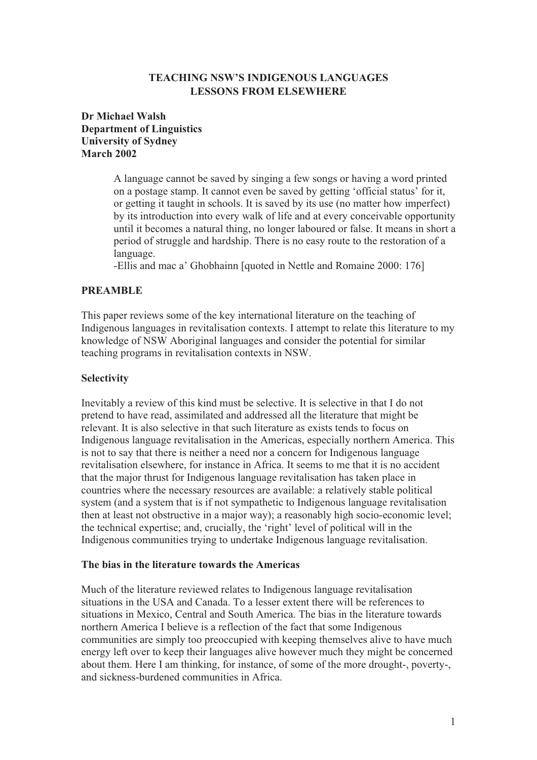# TEACHING NSW'S INDIGENOUS LANGUAGES LESSONS FROM ELSEWHERE

# Dr Michael Walsh Department of Linguistics University of Sydney March 2002

A language cannot be saved by singing a few songs or having a word printed on a postage stamp. It cannot even be saved by getting 'official status' for it, or getting it taught in schools. It is saved by its use (no matter how imperfect) by its introduction into every walk of life and at every conceivable opportunity until it becomes a natural thing, no longer laboured or false. It means in short a period of struggle and hardship. There is no easy route to the restoration of a language.

-Ellis and mac a' Ghobhainn [quoted in Nettle and Romaine 2000: 176]

# PREAMBLE

This paper reviews some of the key international literature on the teaching of Indigenous languages in revitalisation contexts. I attempt to relate this literature to my knowledge of NSW Aboriginal languages and consider the potential for similar teaching programs in revitalisation contexts in NSW.

# Selectivity

Inevitably a review of this kind must be selective. It is selective in that I do not pretend to have read, assimilated and addressed all the literature that might be relevant. It is also selective in that such literature as exists tends to focus on Indigenous language revitalisation in the Americas, especially northern America. This is not to say that there is neither a need nor a concern for Indigenous language revitalisation elsewhere, for instance in Africa. It seems to me that it is no accident that the major thrust for Indigenous language revitalisation has taken place in countries where the necessary resources are available: a relatively stable political system (and a system that is if not sympathetic to Indigenous language revitalisation then at least not obstructive in a major way); a reasonably high socio-economic level; the technical expertise; and, crucially, the 'right' level of political will in the Indigenous communities trying to undertake Indigenous language revitalisation.

# The bias in the literature towards the Americas

Much of the literature reviewed relates to Indigenous language revitalisation situations in the USA and Canada. To a lesser extent there will be references to situations in Mexico, Central and South America. The bias in the literature towards northern America I believe is a reflection of the fact that some Indigenous communities are simply too preoccupied with keeping themselves alive to have much energy left over to keep their languages alive however much they might be concerned about them. Here I am thinking, for instance, of some of the more drought-, poverty-, and sickness-burdened communities in Africa.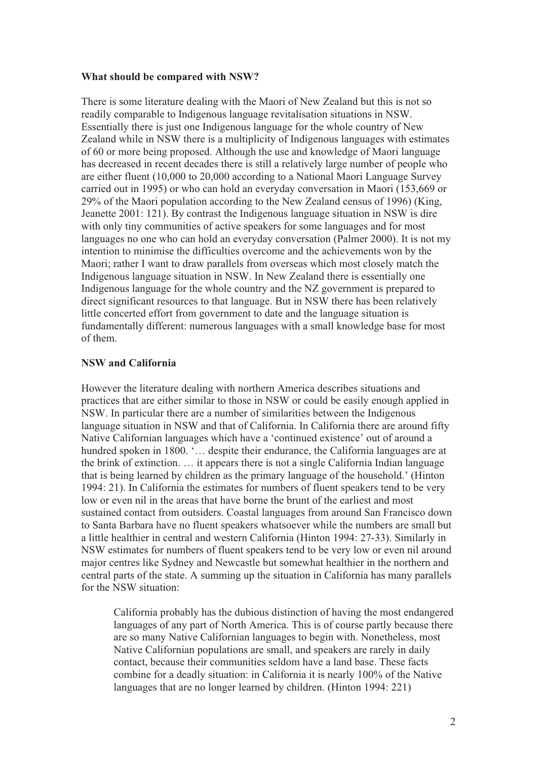#### What should be compared with NSW?

There is some literature dealing with the Maori of New Zealand but this is not so readily comparable to Indigenous language revitalisation situations in NSW. Essentially there is just one Indigenous language for the whole country of New Zealand while in NSW there is a multiplicity of Indigenous languages with estimates of 60 or more being proposed. Although the use and knowledge of Maori language has decreased in recent decades there is still a relatively large number of people who are either fluent (10,000 to 20,000 according to a National Maori Language Survey carried out in 1995) or who can hold an everyday conversation in Maori (153,669 or 29% of the Maori population according to the New Zealand census of 1996) (King, Jeanette 2001: 121). By contrast the Indigenous language situation in NSW is dire with only tiny communities of active speakers for some languages and for most languages no one who can hold an everyday conversation (Palmer 2000). It is not my intention to minimise the difficulties overcome and the achievements won by the Maori; rather I want to draw parallels from overseas which most closely match the Indigenous language situation in NSW. In New Zealand there is essentially one Indigenous language for the whole country and the NZ government is prepared to direct significant resources to that language. But in NSW there has been relatively little concerted effort from government to date and the language situation is fundamentally different: numerous languages with a small knowledge base for most of them.

# NSW and California

However the literature dealing with northern America describes situations and practices that are either similar to those in NSW or could be easily enough applied in NSW. In particular there are a number of similarities between the Indigenous language situation in NSW and that of California. In California there are around fifty Native Californian languages which have a 'continued existence' out of around a hundred spoken in 1800. '... despite their endurance, the California languages are at the brink of extinction. … it appears there is not a single California Indian language that is being learned by children as the primary language of the household.' (Hinton 1994: 21). In California the estimates for numbers of fluent speakers tend to be very low or even nil in the areas that have borne the brunt of the earliest and most sustained contact from outsiders. Coastal languages from around San Francisco down to Santa Barbara have no fluent speakers whatsoever while the numbers are small but a little healthier in central and western California (Hinton 1994: 27-33). Similarly in NSW estimates for numbers of fluent speakers tend to be very low or even nil around major centres like Sydney and Newcastle but somewhat healthier in the northern and central parts of the state. A summing up the situation in California has many parallels for the NSW situation:

California probably has the dubious distinction of having the most endangered languages of any part of North America. This is of course partly because there are so many Native Californian languages to begin with. Nonetheless, most Native Californian populations are small, and speakers are rarely in daily contact, because their communities seldom have a land base. These facts combine for a deadly situation: in California it is nearly 100% of the Native languages that are no longer learned by children. (Hinton 1994: 221)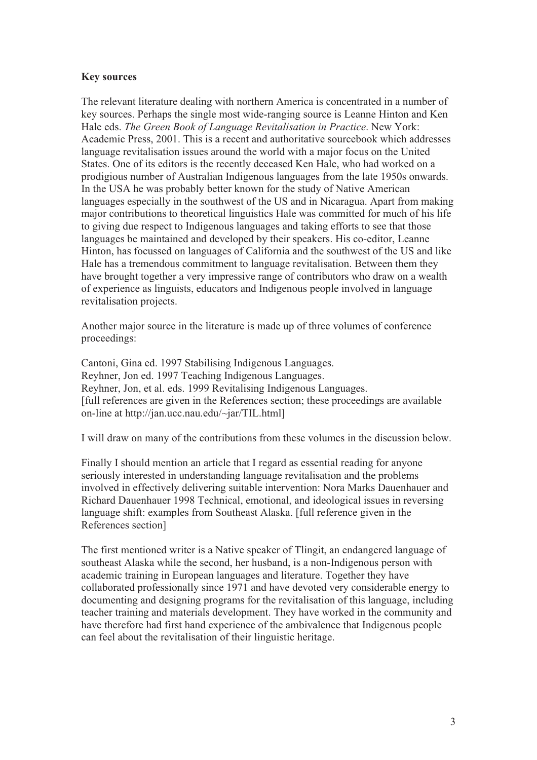#### Key sources

The relevant literature dealing with northern America is concentrated in a number of key sources. Perhaps the single most wide-ranging source is Leanne Hinton and Ken Hale eds. The Green Book of Language Revitalisation in Practice. New York: Academic Press, 2001. This is a recent and authoritative sourcebook which addresses language revitalisation issues around the world with a major focus on the United States. One of its editors is the recently deceased Ken Hale, who had worked on a prodigious number of Australian Indigenous languages from the late 1950s onwards. In the USA he was probably better known for the study of Native American languages especially in the southwest of the US and in Nicaragua. Apart from making major contributions to theoretical linguistics Hale was committed for much of his life to giving due respect to Indigenous languages and taking efforts to see that those languages be maintained and developed by their speakers. His co-editor, Leanne Hinton, has focussed on languages of California and the southwest of the US and like Hale has a tremendous commitment to language revitalisation. Between them they have brought together a very impressive range of contributors who draw on a wealth of experience as linguists, educators and Indigenous people involved in language revitalisation projects.

Another major source in the literature is made up of three volumes of conference proceedings:

Cantoni, Gina ed. 1997 Stabilising Indigenous Languages. Reyhner, Jon ed. 1997 Teaching Indigenous Languages. Reyhner, Jon, et al. eds. 1999 Revitalising Indigenous Languages. [full references are given in the References section; these proceedings are available on-line at http://jan.ucc.nau.edu/~jar/TIL.html]

I will draw on many of the contributions from these volumes in the discussion below.

Finally I should mention an article that I regard as essential reading for anyone seriously interested in understanding language revitalisation and the problems involved in effectively delivering suitable intervention: Nora Marks Dauenhauer and Richard Dauenhauer 1998 Technical, emotional, and ideological issues in reversing language shift: examples from Southeast Alaska. [full reference given in the References section]

The first mentioned writer is a Native speaker of Tlingit, an endangered language of southeast Alaska while the second, her husband, is a non-Indigenous person with academic training in European languages and literature. Together they have collaborated professionally since 1971 and have devoted very considerable energy to documenting and designing programs for the revitalisation of this language, including teacher training and materials development. They have worked in the community and have therefore had first hand experience of the ambivalence that Indigenous people can feel about the revitalisation of their linguistic heritage.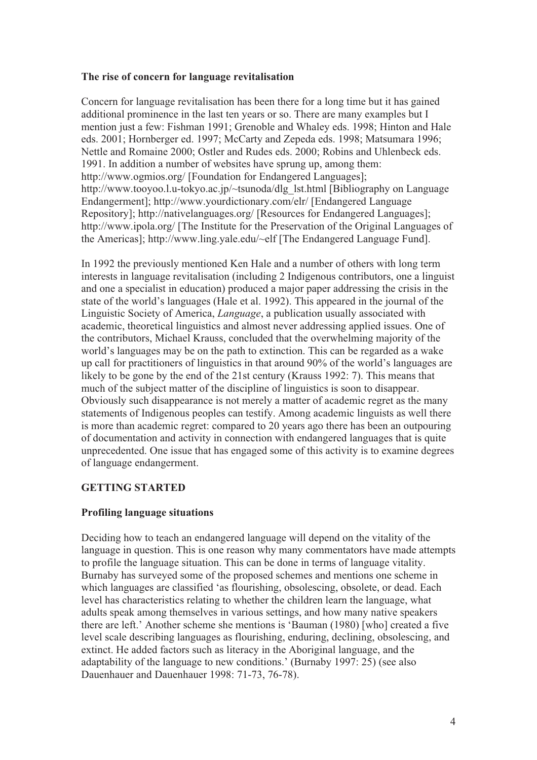# The rise of concern for language revitalisation

Concern for language revitalisation has been there for a long time but it has gained additional prominence in the last ten years or so. There are many examples but I mention just a few: Fishman 1991; Grenoble and Whaley eds. 1998; Hinton and Hale eds. 2001; Hornberger ed. 1997; McCarty and Zepeda eds. 1998; Matsumara 1996; Nettle and Romaine 2000; Ostler and Rudes eds. 2000; Robins and Uhlenbeck eds. 1991. In addition a number of websites have sprung up, among them: http://www.ogmios.org/ [Foundation for Endangered Languages]; http://www.tooyoo.l.u-tokyo.ac.jp/~tsunoda/dlg\_lst.html [Bibliography on Language Endangerment]; http://www.yourdictionary.com/elr/ [Endangered Language Repository]; http://nativelanguages.org/ [Resources for Endangered Languages]; http://www.ipola.org/ [The Institute for the Preservation of the Original Languages of the Americas]; http://www.ling.yale.edu/~elf [The Endangered Language Fund].

In 1992 the previously mentioned Ken Hale and a number of others with long term interests in language revitalisation (including 2 Indigenous contributors, one a linguist and one a specialist in education) produced a major paper addressing the crisis in the state of the world's languages (Hale et al. 1992). This appeared in the journal of the Linguistic Society of America, Language, a publication usually associated with academic, theoretical linguistics and almost never addressing applied issues. One of the contributors, Michael Krauss, concluded that the overwhelming majority of the world's languages may be on the path to extinction. This can be regarded as a wake up call for practitioners of linguistics in that around 90% of the world's languages are likely to be gone by the end of the 21st century (Krauss 1992: 7). This means that much of the subject matter of the discipline of linguistics is soon to disappear. Obviously such disappearance is not merely a matter of academic regret as the many statements of Indigenous peoples can testify. Among academic linguists as well there is more than academic regret: compared to 20 years ago there has been an outpouring of documentation and activity in connection with endangered languages that is quite unprecedented. One issue that has engaged some of this activity is to examine degrees of language endangerment.

# GETTING STARTED

# Profiling language situations

Deciding how to teach an endangered language will depend on the vitality of the language in question. This is one reason why many commentators have made attempts to profile the language situation. This can be done in terms of language vitality. Burnaby has surveyed some of the proposed schemes and mentions one scheme in which languages are classified 'as flourishing, obsolescing, obsolete, or dead. Each level has characteristics relating to whether the children learn the language, what adults speak among themselves in various settings, and how many native speakers there are left.' Another scheme she mentions is 'Bauman (1980) [who] created a five level scale describing languages as flourishing, enduring, declining, obsolescing, and extinct. He added factors such as literacy in the Aboriginal language, and the adaptability of the language to new conditions.' (Burnaby 1997: 25) (see also Dauenhauer and Dauenhauer 1998: 71-73, 76-78).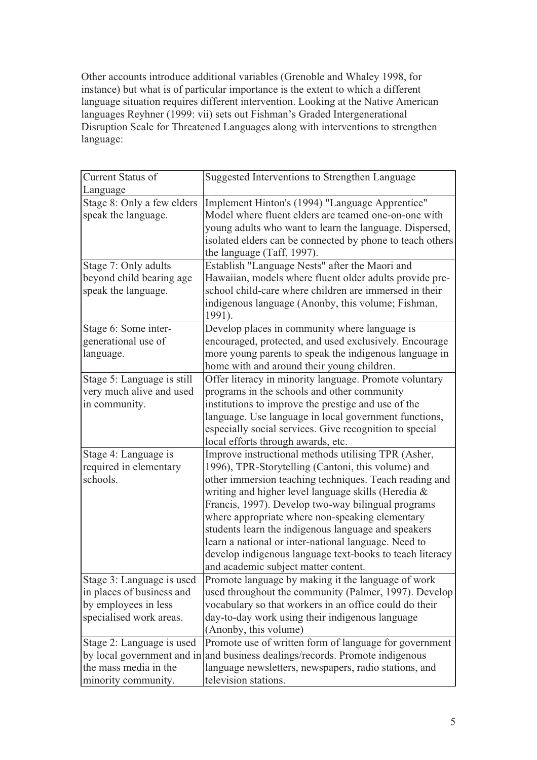Other accounts introduce additional variables (Grenoble and Whaley 1998, for instance) but what is of particular importance is the extent to which a different language situation requires different intervention. Looking at the Native American languages Reyhner (1999: vii) sets out Fishman's Graded Intergenerational Disruption Scale for Threatened Languages along with interventions to strengthen language:

| <b>Current Status of</b><br>Language                                                                      | Suggested Interventions to Strengthen Language                                                                                                                                                                                                                                                                                                                                                                                                                                                                                                         |  |
|-----------------------------------------------------------------------------------------------------------|--------------------------------------------------------------------------------------------------------------------------------------------------------------------------------------------------------------------------------------------------------------------------------------------------------------------------------------------------------------------------------------------------------------------------------------------------------------------------------------------------------------------------------------------------------|--|
| Stage 8: Only a few elders<br>speak the language.                                                         | Implement Hinton's (1994) "Language Apprentice"<br>Model where fluent elders are teamed one-on-one with<br>young adults who want to learn the language. Dispersed,<br>isolated elders can be connected by phone to teach others<br>the language (Taff, 1997).                                                                                                                                                                                                                                                                                          |  |
| Stage 7: Only adults<br>beyond child bearing age<br>speak the language.                                   | Establish "Language Nests" after the Maori and<br>Hawaiian, models where fluent older adults provide pre-<br>school child-care where children are immersed in their<br>indigenous language (Anonby, this volume; Fishman,<br>1991).                                                                                                                                                                                                                                                                                                                    |  |
| Stage 6: Some inter-<br>generational use of<br>language.                                                  | Develop places in community where language is<br>encouraged, protected, and used exclusively. Encourage<br>more young parents to speak the indigenous language in<br>home with and around their young children.                                                                                                                                                                                                                                                                                                                                        |  |
| Stage 5: Language is still<br>very much alive and used<br>in community.                                   | Offer literacy in minority language. Promote voluntary<br>programs in the schools and other community<br>institutions to improve the prestige and use of the<br>language. Use language in local government functions,<br>especially social services. Give recognition to special<br>local efforts through awards, etc.                                                                                                                                                                                                                                 |  |
| Stage 4: Language is<br>required in elementary<br>schools.                                                | Improve instructional methods utilising TPR (Asher,<br>1996), TPR-Storytelling (Cantoni, this volume) and<br>other immersion teaching techniques. Teach reading and<br>writing and higher level language skills (Heredia &<br>Francis, 1997). Develop two-way bilingual programs<br>where appropriate where non-speaking elementary<br>students learn the indigenous language and speakers<br>learn a national or inter-national language. Need to<br>develop indigenous language text-books to teach literacy<br>and academic subject matter content. |  |
| Stage 3: Language is used<br>in places of business and<br>by employees in less<br>specialised work areas. | Promote language by making it the language of work<br>used throughout the community (Palmer, 1997). Develop<br>vocabulary so that workers in an office could do their<br>day-to-day work using their indigenous language<br>(Anonby, this volume)                                                                                                                                                                                                                                                                                                      |  |
| Stage 2: Language is used<br>the mass media in the<br>minority community.                                 | Promote use of written form of language for government<br>by local government and in and business dealings/records. Promote indigenous<br>language newsletters, newspapers, radio stations, and<br>television stations.                                                                                                                                                                                                                                                                                                                                |  |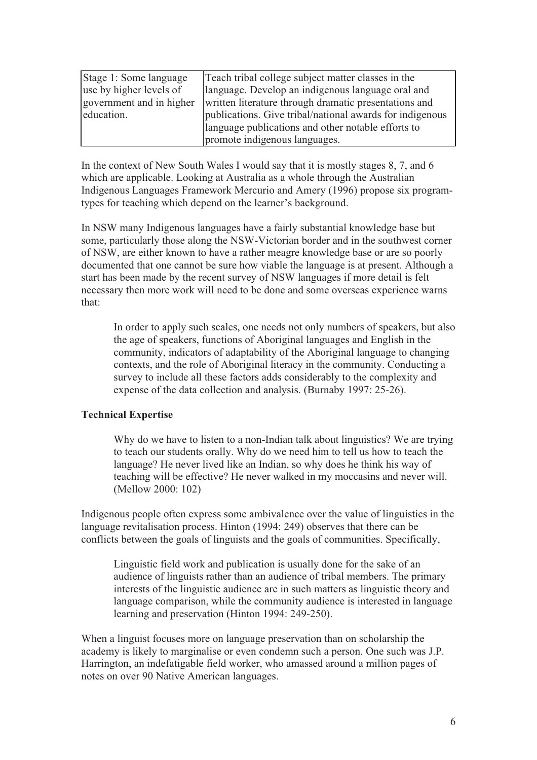| Stage 1: Some language   | Teach tribal college subject matter classes in the       |  |
|--------------------------|----------------------------------------------------------|--|
| use by higher levels of  | language. Develop an indigenous language oral and        |  |
| government and in higher | written literature through dramatic presentations and    |  |
| education.               | publications. Give tribal/national awards for indigenous |  |
|                          | language publications and other notable efforts to       |  |
|                          | promote indigenous languages.                            |  |

In the context of New South Wales I would say that it is mostly stages 8, 7, and 6 which are applicable. Looking at Australia as a whole through the Australian Indigenous Languages Framework Mercurio and Amery (1996) propose six programtypes for teaching which depend on the learner's background.

In NSW many Indigenous languages have a fairly substantial knowledge base but some, particularly those along the NSW-Victorian border and in the southwest corner of NSW, are either known to have a rather meagre knowledge base or are so poorly documented that one cannot be sure how viable the language is at present. Although a start has been made by the recent survey of NSW languages if more detail is felt necessary then more work will need to be done and some overseas experience warns that:

In order to apply such scales, one needs not only numbers of speakers, but also the age of speakers, functions of Aboriginal languages and English in the community, indicators of adaptability of the Aboriginal language to changing contexts, and the role of Aboriginal literacy in the community. Conducting a survey to include all these factors adds considerably to the complexity and expense of the data collection and analysis. (Burnaby 1997: 25-26).

# Technical Expertise

Why do we have to listen to a non-Indian talk about linguistics? We are trying to teach our students orally. Why do we need him to tell us how to teach the language? He never lived like an Indian, so why does he think his way of teaching will be effective? He never walked in my moccasins and never will. (Mellow 2000: 102)

Indigenous people often express some ambivalence over the value of linguistics in the language revitalisation process. Hinton (1994: 249) observes that there can be conflicts between the goals of linguists and the goals of communities. Specifically,

Linguistic field work and publication is usually done for the sake of an audience of linguists rather than an audience of tribal members. The primary interests of the linguistic audience are in such matters as linguistic theory and language comparison, while the community audience is interested in language learning and preservation (Hinton 1994: 249-250).

When a linguist focuses more on language preservation than on scholarship the academy is likely to marginalise or even condemn such a person. One such was J.P. Harrington, an indefatigable field worker, who amassed around a million pages of notes on over 90 Native American languages.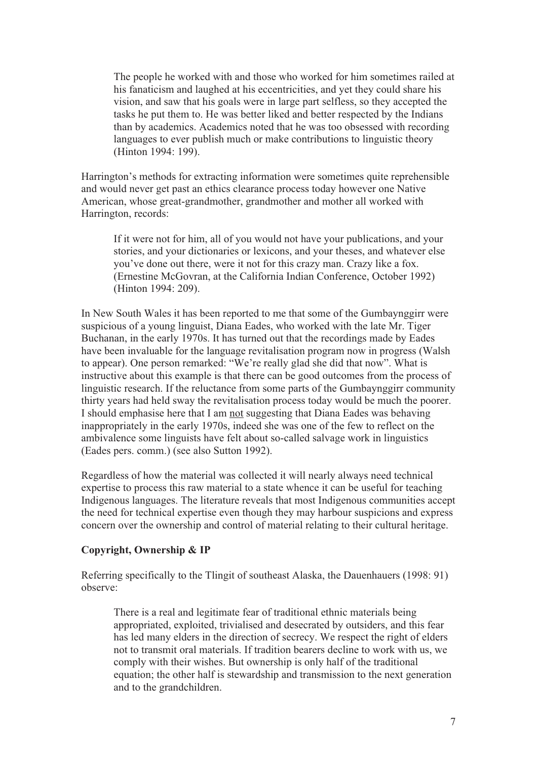The people he worked with and those who worked for him sometimes railed at his fanaticism and laughed at his eccentricities, and yet they could share his vision, and saw that his goals were in large part selfless, so they accepted the tasks he put them to. He was better liked and better respected by the Indians than by academics. Academics noted that he was too obsessed with recording languages to ever publish much or make contributions to linguistic theory (Hinton 1994: 199).

Harrington's methods for extracting information were sometimes quite reprehensible and would never get past an ethics clearance process today however one Native American, whose great-grandmother, grandmother and mother all worked with Harrington, records:

If it were not for him, all of you would not have your publications, and your stories, and your dictionaries or lexicons, and your theses, and whatever else you've done out there, were it not for this crazy man. Crazy like a fox. (Ernestine McGovran, at the California Indian Conference, October 1992) (Hinton 1994: 209).

In New South Wales it has been reported to me that some of the Gumbaynggirr were suspicious of a young linguist, Diana Eades, who worked with the late Mr. Tiger Buchanan, in the early 1970s. It has turned out that the recordings made by Eades have been invaluable for the language revitalisation program now in progress (Walsh to appear). One person remarked: "We're really glad she did that now". What is instructive about this example is that there can be good outcomes from the process of linguistic research. If the reluctance from some parts of the Gumbaynggirr community thirty years had held sway the revitalisation process today would be much the poorer. I should emphasise here that I am not suggesting that Diana Eades was behaving inappropriately in the early 1970s, indeed she was one of the few to reflect on the ambivalence some linguists have felt about so-called salvage work in linguistics (Eades pers. comm.) (see also Sutton 1992).

Regardless of how the material was collected it will nearly always need technical expertise to process this raw material to a state whence it can be useful for teaching Indigenous languages. The literature reveals that most Indigenous communities accept the need for technical expertise even though they may harbour suspicions and express concern over the ownership and control of material relating to their cultural heritage.

#### Copyright, Ownership & IP

Referring specifically to the Tlingit of southeast Alaska, the Dauenhauers (1998: 91) observe:

There is a real and legitimate fear of traditional ethnic materials being appropriated, exploited, trivialised and desecrated by outsiders, and this fear has led many elders in the direction of secrecy. We respect the right of elders not to transmit oral materials. If tradition bearers decline to work with us, we comply with their wishes. But ownership is only half of the traditional equation; the other half is stewardship and transmission to the next generation and to the grandchildren.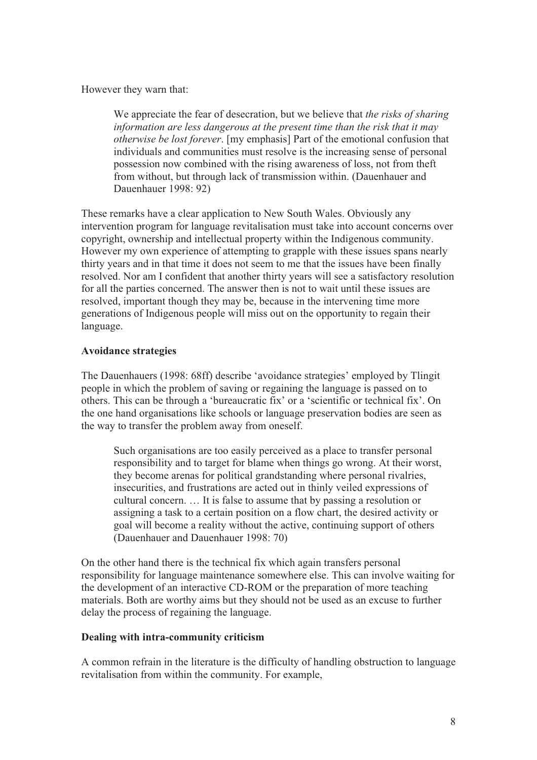However they warn that:

We appreciate the fear of desecration, but we believe that the risks of sharing information are less dangerous at the present time than the risk that it may otherwise be lost forever. [my emphasis] Part of the emotional confusion that individuals and communities must resolve is the increasing sense of personal possession now combined with the rising awareness of loss, not from theft from without, but through lack of transmission within. (Dauenhauer and Dauenhauer 1998: 92)

These remarks have a clear application to New South Wales. Obviously any intervention program for language revitalisation must take into account concerns over copyright, ownership and intellectual property within the Indigenous community. However my own experience of attempting to grapple with these issues spans nearly thirty years and in that time it does not seem to me that the issues have been finally resolved. Nor am I confident that another thirty years will see a satisfactory resolution for all the parties concerned. The answer then is not to wait until these issues are resolved, important though they may be, because in the intervening time more generations of Indigenous people will miss out on the opportunity to regain their language.

# Avoidance strategies

The Dauenhauers (1998: 68ff) describe 'avoidance strategies' employed by Tlingit people in which the problem of saving or regaining the language is passed on to others. This can be through a 'bureaucratic fix' or a 'scientific or technical fix'. On the one hand organisations like schools or language preservation bodies are seen as the way to transfer the problem away from oneself.

Such organisations are too easily perceived as a place to transfer personal responsibility and to target for blame when things go wrong. At their worst, they become arenas for political grandstanding where personal rivalries, insecurities, and frustrations are acted out in thinly veiled expressions of cultural concern. … It is false to assume that by passing a resolution or assigning a task to a certain position on a flow chart, the desired activity or goal will become a reality without the active, continuing support of others (Dauenhauer and Dauenhauer 1998: 70)

On the other hand there is the technical fix which again transfers personal responsibility for language maintenance somewhere else. This can involve waiting for the development of an interactive CD-ROM or the preparation of more teaching materials. Both are worthy aims but they should not be used as an excuse to further delay the process of regaining the language.

# Dealing with intra-community criticism

A common refrain in the literature is the difficulty of handling obstruction to language revitalisation from within the community. For example,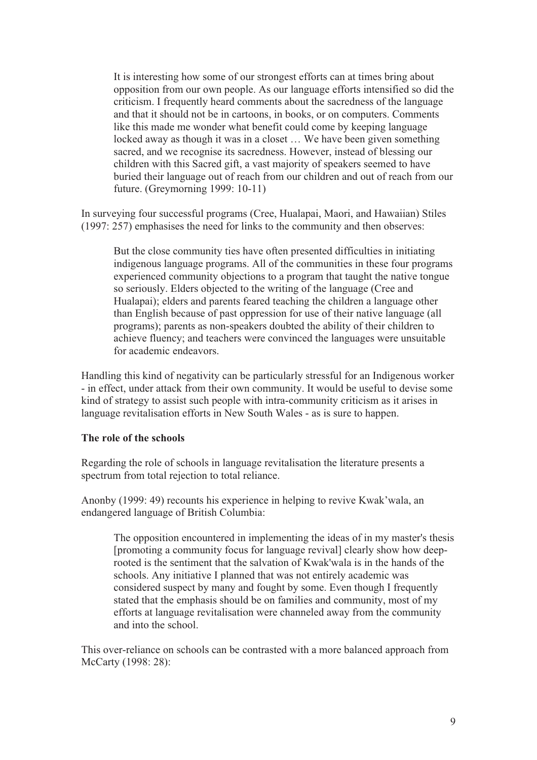It is interesting how some of our strongest efforts can at times bring about opposition from our own people. As our language efforts intensified so did the criticism. I frequently heard comments about the sacredness of the language and that it should not be in cartoons, in books, or on computers. Comments like this made me wonder what benefit could come by keeping language locked away as though it was in a closet … We have been given something sacred, and we recognise its sacredness. However, instead of blessing our children with this Sacred gift, a vast majority of speakers seemed to have buried their language out of reach from our children and out of reach from our future. (Greymorning 1999: 10-11)

In surveying four successful programs (Cree, Hualapai, Maori, and Hawaiian) Stiles (1997: 257) emphasises the need for links to the community and then observes:

But the close community ties have often presented difficulties in initiating indigenous language programs. All of the communities in these four programs experienced community objections to a program that taught the native tongue so seriously. Elders objected to the writing of the language (Cree and Hualapai); elders and parents feared teaching the children a language other than English because of past oppression for use of their native language (all programs); parents as non-speakers doubted the ability of their children to achieve fluency; and teachers were convinced the languages were unsuitable for academic endeavors.

Handling this kind of negativity can be particularly stressful for an Indigenous worker - in effect, under attack from their own community. It would be useful to devise some kind of strategy to assist such people with intra-community criticism as it arises in language revitalisation efforts in New South Wales - as is sure to happen.

### The role of the schools

Regarding the role of schools in language revitalisation the literature presents a spectrum from total rejection to total reliance.

Anonby (1999: 49) recounts his experience in helping to revive Kwak'wala, an endangered language of British Columbia:

The opposition encountered in implementing the ideas of in my master's thesis [promoting a community focus for language revival] clearly show how deeprooted is the sentiment that the salvation of Kwak'wala is in the hands of the schools. Any initiative I planned that was not entirely academic was considered suspect by many and fought by some. Even though I frequently stated that the emphasis should be on families and community, most of my efforts at language revitalisation were channeled away from the community and into the school.

This over-reliance on schools can be contrasted with a more balanced approach from McCarty (1998: 28):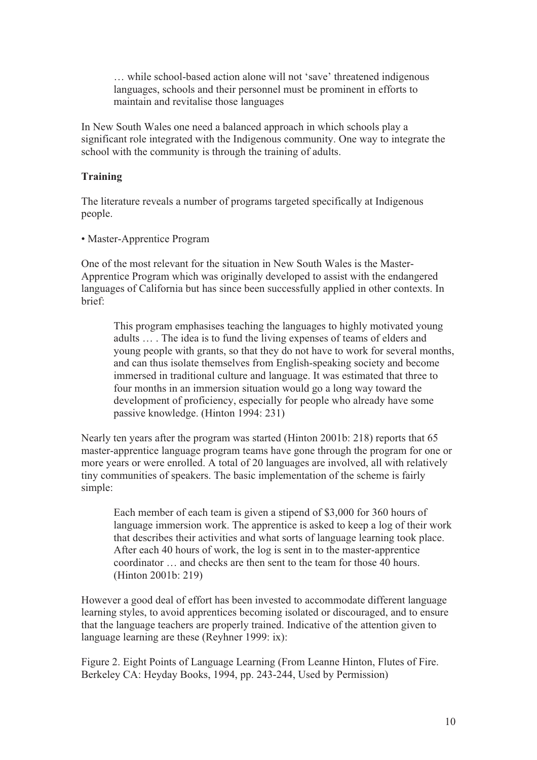… while school-based action alone will not 'save' threatened indigenous languages, schools and their personnel must be prominent in efforts to maintain and revitalise those languages

In New South Wales one need a balanced approach in which schools play a significant role integrated with the Indigenous community. One way to integrate the school with the community is through the training of adults.

### **Training**

The literature reveals a number of programs targeted specifically at Indigenous people.

• Master-Apprentice Program

One of the most relevant for the situation in New South Wales is the Master-Apprentice Program which was originally developed to assist with the endangered languages of California but has since been successfully applied in other contexts. In brief:

This program emphasises teaching the languages to highly motivated young adults … . The idea is to fund the living expenses of teams of elders and young people with grants, so that they do not have to work for several months, and can thus isolate themselves from English-speaking society and become immersed in traditional culture and language. It was estimated that three to four months in an immersion situation would go a long way toward the development of proficiency, especially for people who already have some passive knowledge. (Hinton 1994: 231)

Nearly ten years after the program was started (Hinton 2001b: 218) reports that 65 master-apprentice language program teams have gone through the program for one or more years or were enrolled. A total of 20 languages are involved, all with relatively tiny communities of speakers. The basic implementation of the scheme is fairly simple:

Each member of each team is given a stipend of \$3,000 for 360 hours of language immersion work. The apprentice is asked to keep a log of their work that describes their activities and what sorts of language learning took place. After each 40 hours of work, the log is sent in to the master-apprentice coordinator … and checks are then sent to the team for those 40 hours. (Hinton 2001b: 219)

However a good deal of effort has been invested to accommodate different language learning styles, to avoid apprentices becoming isolated or discouraged, and to ensure that the language teachers are properly trained. Indicative of the attention given to language learning are these (Reyhner 1999: ix):

Figure 2. Eight Points of Language Learning (From Leanne Hinton, Flutes of Fire. Berkeley CA: Heyday Books, 1994, pp. 243-244, Used by Permission)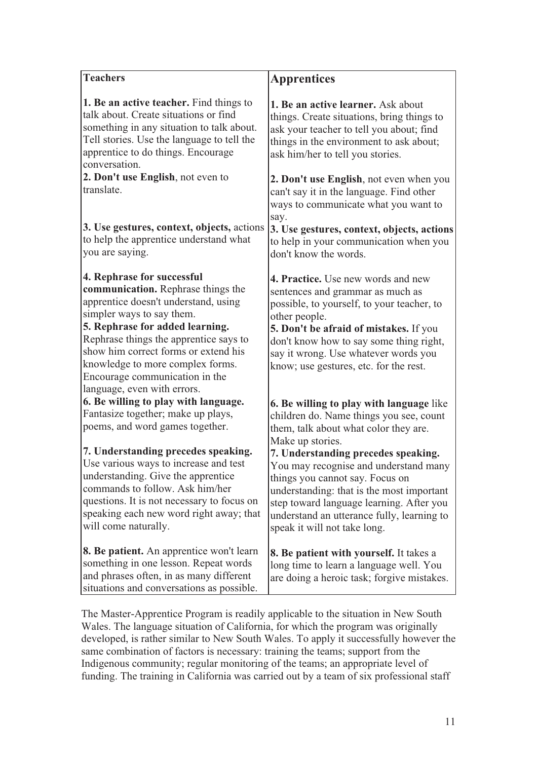| <b>Teachers</b>                                                                                                                                                                                                                                                                                                                                                                         | <b>Apprentices</b>                                                                                                                                                                                                                                                                                                                                                                                                                         |
|-----------------------------------------------------------------------------------------------------------------------------------------------------------------------------------------------------------------------------------------------------------------------------------------------------------------------------------------------------------------------------------------|--------------------------------------------------------------------------------------------------------------------------------------------------------------------------------------------------------------------------------------------------------------------------------------------------------------------------------------------------------------------------------------------------------------------------------------------|
|                                                                                                                                                                                                                                                                                                                                                                                         |                                                                                                                                                                                                                                                                                                                                                                                                                                            |
| 1. Be an active teacher. Find things to<br>talk about. Create situations or find<br>something in any situation to talk about.<br>Tell stories. Use the language to tell the<br>apprentice to do things. Encourage<br>conversation.                                                                                                                                                      | 1. Be an active learner. Ask about<br>things. Create situations, bring things to<br>ask your teacher to tell you about; find<br>things in the environment to ask about;<br>ask him/her to tell you stories.                                                                                                                                                                                                                                |
| 2. Don't use English, not even to<br>translate.                                                                                                                                                                                                                                                                                                                                         | 2. Don't use English, not even when you<br>can't say it in the language. Find other<br>ways to communicate what you want to<br>say.                                                                                                                                                                                                                                                                                                        |
| 3. Use gestures, context, objects, actions<br>to help the apprentice understand what<br>you are saying.                                                                                                                                                                                                                                                                                 | 3. Use gestures, context, objects, actions<br>to help in your communication when you<br>don't know the words.                                                                                                                                                                                                                                                                                                                              |
| 4. Rephrase for successful<br>communication. Rephrase things the<br>apprentice doesn't understand, using<br>simpler ways to say them.<br>5. Rephrase for added learning.<br>Rephrase things the apprentice says to<br>show him correct forms or extend his<br>knowledge to more complex forms.<br>Encourage communication in the<br>language, even with errors.                         | 4. Practice. Use new words and new<br>sentences and grammar as much as<br>possible, to yourself, to your teacher, to<br>other people.<br>5. Don't be afraid of mistakes. If you<br>don't know how to say some thing right,<br>say it wrong. Use whatever words you<br>know; use gestures, etc. for the rest.                                                                                                                               |
| 6. Be willing to play with language.<br>Fantasize together; make up plays,<br>poems, and word games together.<br>7. Understanding precedes speaking.<br>Use various ways to increase and test<br>understanding. Give the apprentice<br>commands to follow. Ask him/her<br>questions. It is not necessary to focus on<br>speaking each new word right away; that<br>will come naturally. | 6. Be willing to play with language like<br>children do. Name things you see, count<br>them, talk about what color they are.<br>Make up stories.<br>7. Understanding precedes speaking.<br>You may recognise and understand many<br>things you cannot say. Focus on<br>understanding: that is the most important<br>step toward language learning. After you<br>understand an utterance fully, learning to<br>speak it will not take long. |
| <b>8. Be patient.</b> An apprentice won't learn<br>something in one lesson. Repeat words<br>and phrases often, in as many different<br>situations and conversations as possible.                                                                                                                                                                                                        | <b>8. Be patient with yourself.</b> It takes a<br>long time to learn a language well. You<br>are doing a heroic task; forgive mistakes.                                                                                                                                                                                                                                                                                                    |
| The Master-Apprentice Program is readily applicable to the situation in New South<br>Wales. The language situation of California, for which the program was originally                                                                                                                                                                                                                  |                                                                                                                                                                                                                                                                                                                                                                                                                                            |

developed, is rather similar to New South Wales. To apply it successfully however the same combination of factors is necessary: training the teams; support from the Indigenous community; regular monitoring of the teams; an appropriate level of funding. The training in California was carried out by a team of six professional staff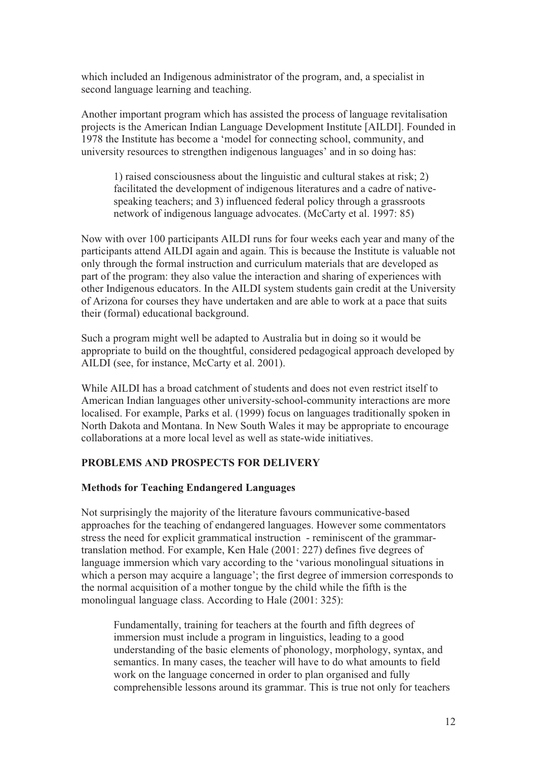which included an Indigenous administrator of the program, and, a specialist in second language learning and teaching.

Another important program which has assisted the process of language revitalisation projects is the American Indian Language Development Institute [AILDI]. Founded in 1978 the Institute has become a 'model for connecting school, community, and university resources to strengthen indigenous languages' and in so doing has:

1) raised consciousness about the linguistic and cultural stakes at risk; 2) facilitated the development of indigenous literatures and a cadre of nativespeaking teachers; and 3) influenced federal policy through a grassroots network of indigenous language advocates. (McCarty et al. 1997: 85)

Now with over 100 participants AILDI runs for four weeks each year and many of the participants attend AILDI again and again. This is because the Institute is valuable not only through the formal instruction and curriculum materials that are developed as part of the program: they also value the interaction and sharing of experiences with other Indigenous educators. In the AILDI system students gain credit at the University of Arizona for courses they have undertaken and are able to work at a pace that suits their (formal) educational background.

Such a program might well be adapted to Australia but in doing so it would be appropriate to build on the thoughtful, considered pedagogical approach developed by AILDI (see, for instance, McCarty et al. 2001).

While AILDI has a broad catchment of students and does not even restrict itself to American Indian languages other university-school-community interactions are more localised. For example, Parks et al. (1999) focus on languages traditionally spoken in North Dakota and Montana. In New South Wales it may be appropriate to encourage collaborations at a more local level as well as state-wide initiatives.

# PROBLEMS AND PROSPECTS FOR DELIVERY

# Methods for Teaching Endangered Languages

Not surprisingly the majority of the literature favours communicative-based approaches for the teaching of endangered languages. However some commentators stress the need for explicit grammatical instruction - reminiscent of the grammartranslation method. For example, Ken Hale (2001: 227) defines five degrees of language immersion which vary according to the 'various monolingual situations in which a person may acquire a language'; the first degree of immersion corresponds to the normal acquisition of a mother tongue by the child while the fifth is the monolingual language class. According to Hale (2001: 325):

Fundamentally, training for teachers at the fourth and fifth degrees of immersion must include a program in linguistics, leading to a good understanding of the basic elements of phonology, morphology, syntax, and semantics. In many cases, the teacher will have to do what amounts to field work on the language concerned in order to plan organised and fully comprehensible lessons around its grammar. This is true not only for teachers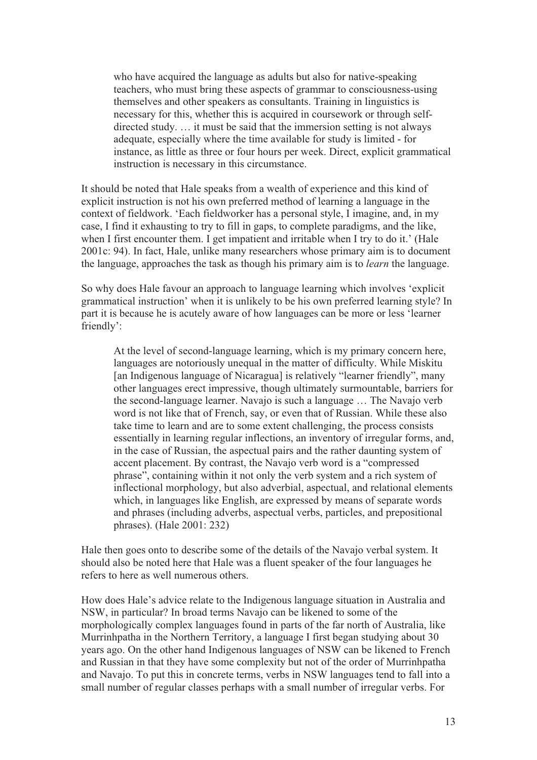who have acquired the language as adults but also for native-speaking teachers, who must bring these aspects of grammar to consciousness-using themselves and other speakers as consultants. Training in linguistics is necessary for this, whether this is acquired in coursework or through selfdirected study. … it must be said that the immersion setting is not always adequate, especially where the time available for study is limited - for instance, as little as three or four hours per week. Direct, explicit grammatical instruction is necessary in this circumstance.

It should be noted that Hale speaks from a wealth of experience and this kind of explicit instruction is not his own preferred method of learning a language in the context of fieldwork. 'Each fieldworker has a personal style, I imagine, and, in my case, I find it exhausting to try to fill in gaps, to complete paradigms, and the like, when I first encounter them. I get impatient and irritable when I try to do it.' (Hale 2001c: 94). In fact, Hale, unlike many researchers whose primary aim is to document the language, approaches the task as though his primary aim is to learn the language.

So why does Hale favour an approach to language learning which involves 'explicit grammatical instruction' when it is unlikely to be his own preferred learning style? In part it is because he is acutely aware of how languages can be more or less 'learner friendly':

At the level of second-language learning, which is my primary concern here, languages are notoriously unequal in the matter of difficulty. While Miskitu [an Indigenous language of Nicaragua] is relatively "learner friendly", many other languages erect impressive, though ultimately surmountable, barriers for the second-language learner. Navajo is such a language … The Navajo verb word is not like that of French, say, or even that of Russian. While these also take time to learn and are to some extent challenging, the process consists essentially in learning regular inflections, an inventory of irregular forms, and, in the case of Russian, the aspectual pairs and the rather daunting system of accent placement. By contrast, the Navajo verb word is a "compressed phrase", containing within it not only the verb system and a rich system of inflectional morphology, but also adverbial, aspectual, and relational elements which, in languages like English, are expressed by means of separate words and phrases (including adverbs, aspectual verbs, particles, and prepositional phrases). (Hale 2001: 232)

Hale then goes onto to describe some of the details of the Navajo verbal system. It should also be noted here that Hale was a fluent speaker of the four languages he refers to here as well numerous others.

How does Hale's advice relate to the Indigenous language situation in Australia and NSW, in particular? In broad terms Navajo can be likened to some of the morphologically complex languages found in parts of the far north of Australia, like Murrinhpatha in the Northern Territory, a language I first began studying about 30 years ago. On the other hand Indigenous languages of NSW can be likened to French and Russian in that they have some complexity but not of the order of Murrinhpatha and Navajo. To put this in concrete terms, verbs in NSW languages tend to fall into a small number of regular classes perhaps with a small number of irregular verbs. For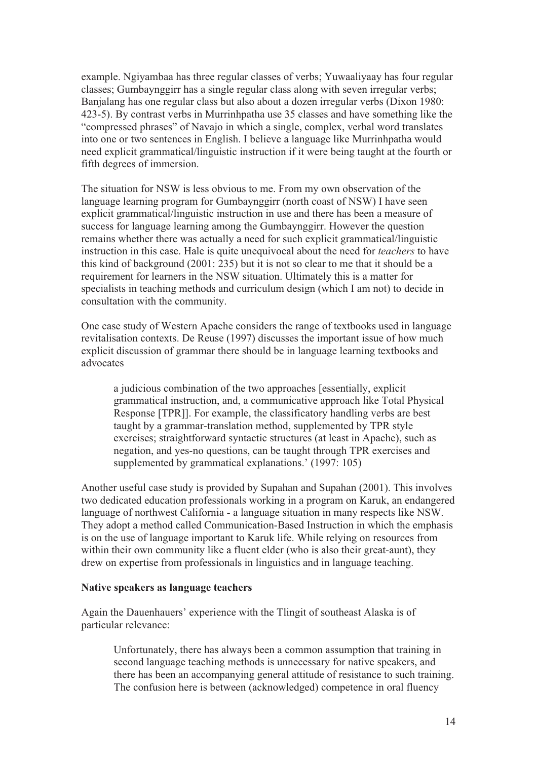example. Ngiyambaa has three regular classes of verbs; Yuwaaliyaay has four regular classes; Gumbaynggirr has a single regular class along with seven irregular verbs; Banjalang has one regular class but also about a dozen irregular verbs (Dixon 1980: 423-5). By contrast verbs in Murrinhpatha use 35 classes and have something like the "compressed phrases" of Navajo in which a single, complex, verbal word translates into one or two sentences in English. I believe a language like Murrinhpatha would need explicit grammatical/linguistic instruction if it were being taught at the fourth or fifth degrees of immersion.

The situation for NSW is less obvious to me. From my own observation of the language learning program for Gumbaynggirr (north coast of NSW) I have seen explicit grammatical/linguistic instruction in use and there has been a measure of success for language learning among the Gumbaynggirr. However the question remains whether there was actually a need for such explicit grammatical/linguistic instruction in this case. Hale is quite unequivocal about the need for teachers to have this kind of background (2001: 235) but it is not so clear to me that it should be a requirement for learners in the NSW situation. Ultimately this is a matter for specialists in teaching methods and curriculum design (which I am not) to decide in consultation with the community.

One case study of Western Apache considers the range of textbooks used in language revitalisation contexts. De Reuse (1997) discusses the important issue of how much explicit discussion of grammar there should be in language learning textbooks and advocates

a judicious combination of the two approaches [essentially, explicit grammatical instruction, and, a communicative approach like Total Physical Response [TPR]]. For example, the classificatory handling verbs are best taught by a grammar-translation method, supplemented by TPR style exercises; straightforward syntactic structures (at least in Apache), such as negation, and yes-no questions, can be taught through TPR exercises and supplemented by grammatical explanations.' (1997: 105)

Another useful case study is provided by Supahan and Supahan (2001). This involves two dedicated education professionals working in a program on Karuk, an endangered language of northwest California - a language situation in many respects like NSW. They adopt a method called Communication-Based Instruction in which the emphasis is on the use of language important to Karuk life. While relying on resources from within their own community like a fluent elder (who is also their great-aunt), they drew on expertise from professionals in linguistics and in language teaching.

#### Native speakers as language teachers

Again the Dauenhauers' experience with the Tlingit of southeast Alaska is of particular relevance:

Unfortunately, there has always been a common assumption that training in second language teaching methods is unnecessary for native speakers, and there has been an accompanying general attitude of resistance to such training. The confusion here is between (acknowledged) competence in oral fluency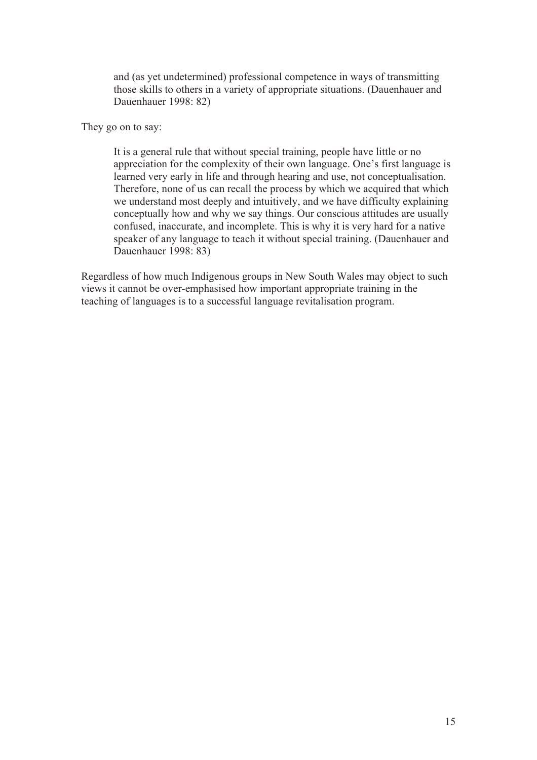and (as yet undetermined) professional competence in ways of transmitting those skills to others in a variety of appropriate situations. (Dauenhauer and Dauenhauer 1998: 82)

They go on to say:

It is a general rule that without special training, people have little or no appreciation for the complexity of their own language. One's first language is learned very early in life and through hearing and use, not conceptualisation. Therefore, none of us can recall the process by which we acquired that which we understand most deeply and intuitively, and we have difficulty explaining conceptually how and why we say things. Our conscious attitudes are usually confused, inaccurate, and incomplete. This is why it is very hard for a native speaker of any language to teach it without special training. (Dauenhauer and Dauenhauer 1998: 83)

Regardless of how much Indigenous groups in New South Wales may object to such views it cannot be over-emphasised how important appropriate training in the teaching of languages is to a successful language revitalisation program.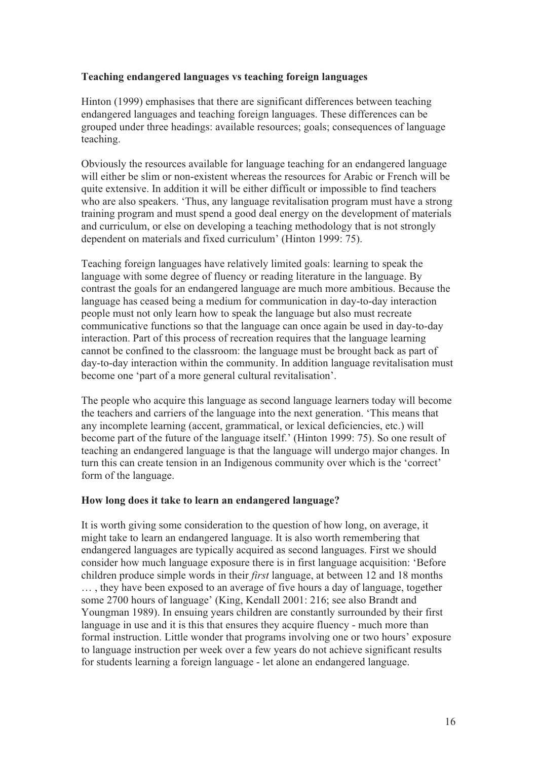# Teaching endangered languages vs teaching foreign languages

Hinton (1999) emphasises that there are significant differences between teaching endangered languages and teaching foreign languages. These differences can be grouped under three headings: available resources; goals; consequences of language teaching.

Obviously the resources available for language teaching for an endangered language will either be slim or non-existent whereas the resources for Arabic or French will be quite extensive. In addition it will be either difficult or impossible to find teachers who are also speakers. 'Thus, any language revitalisation program must have a strong training program and must spend a good deal energy on the development of materials and curriculum, or else on developing a teaching methodology that is not strongly dependent on materials and fixed curriculum' (Hinton 1999: 75).

Teaching foreign languages have relatively limited goals: learning to speak the language with some degree of fluency or reading literature in the language. By contrast the goals for an endangered language are much more ambitious. Because the language has ceased being a medium for communication in day-to-day interaction people must not only learn how to speak the language but also must recreate communicative functions so that the language can once again be used in day-to-day interaction. Part of this process of recreation requires that the language learning cannot be confined to the classroom: the language must be brought back as part of day-to-day interaction within the community. In addition language revitalisation must become one 'part of a more general cultural revitalisation'.

The people who acquire this language as second language learners today will become the teachers and carriers of the language into the next generation. 'This means that any incomplete learning (accent, grammatical, or lexical deficiencies, etc.) will become part of the future of the language itself.' (Hinton 1999: 75). So one result of teaching an endangered language is that the language will undergo major changes. In turn this can create tension in an Indigenous community over which is the 'correct' form of the language.

# How long does it take to learn an endangered language?

It is worth giving some consideration to the question of how long, on average, it might take to learn an endangered language. It is also worth remembering that endangered languages are typically acquired as second languages. First we should consider how much language exposure there is in first language acquisition: 'Before children produce simple words in their first language, at between 12 and 18 months … , they have been exposed to an average of five hours a day of language, together some 2700 hours of language' (King, Kendall 2001: 216; see also Brandt and Youngman 1989). In ensuing years children are constantly surrounded by their first language in use and it is this that ensures they acquire fluency - much more than formal instruction. Little wonder that programs involving one or two hours' exposure to language instruction per week over a few years do not achieve significant results for students learning a foreign language - let alone an endangered language.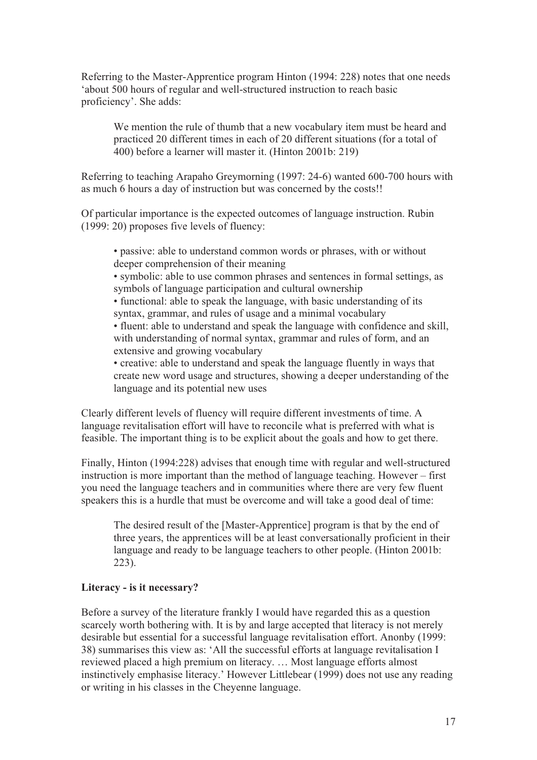Referring to the Master-Apprentice program Hinton (1994: 228) notes that one needs 'about 500 hours of regular and well-structured instruction to reach basic proficiency'. She adds:

We mention the rule of thumb that a new vocabulary item must be heard and practiced 20 different times in each of 20 different situations (for a total of 400) before a learner will master it. (Hinton 2001b: 219)

Referring to teaching Arapaho Greymorning (1997: 24-6) wanted 600-700 hours with as much 6 hours a day of instruction but was concerned by the costs!!

Of particular importance is the expected outcomes of language instruction. Rubin (1999: 20) proposes five levels of fluency:

• passive: able to understand common words or phrases, with or without deeper comprehension of their meaning

• symbolic: able to use common phrases and sentences in formal settings, as symbols of language participation and cultural ownership

• functional: able to speak the language, with basic understanding of its syntax, grammar, and rules of usage and a minimal vocabulary

• fluent: able to understand and speak the language with confidence and skill, with understanding of normal syntax, grammar and rules of form, and an extensive and growing vocabulary

• creative: able to understand and speak the language fluently in ways that create new word usage and structures, showing a deeper understanding of the language and its potential new uses

Clearly different levels of fluency will require different investments of time. A language revitalisation effort will have to reconcile what is preferred with what is feasible. The important thing is to be explicit about the goals and how to get there.

Finally, Hinton (1994:228) advises that enough time with regular and well-structured instruction is more important than the method of language teaching. However – first you need the language teachers and in communities where there are very few fluent speakers this is a hurdle that must be overcome and will take a good deal of time:

The desired result of the [Master-Apprentice] program is that by the end of three years, the apprentices will be at least conversationally proficient in their language and ready to be language teachers to other people. (Hinton 2001b: 223).

# Literacy - is it necessary?

Before a survey of the literature frankly I would have regarded this as a question scarcely worth bothering with. It is by and large accepted that literacy is not merely desirable but essential for a successful language revitalisation effort. Anonby (1999: 38) summarises this view as: 'All the successful efforts at language revitalisation I reviewed placed a high premium on literacy. … Most language efforts almost instinctively emphasise literacy.' However Littlebear (1999) does not use any reading or writing in his classes in the Cheyenne language.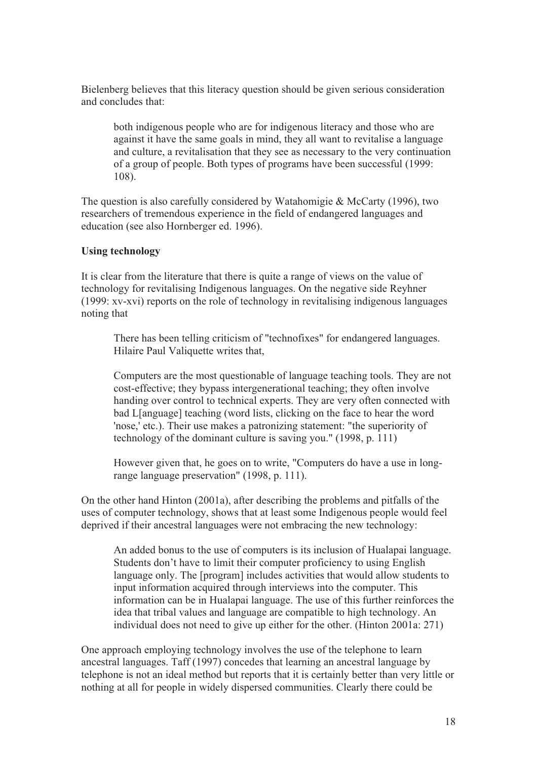Bielenberg believes that this literacy question should be given serious consideration and concludes that:

both indigenous people who are for indigenous literacy and those who are against it have the same goals in mind, they all want to revitalise a language and culture, a revitalisation that they see as necessary to the very continuation of a group of people. Both types of programs have been successful (1999: 108).

The question is also carefully considered by Watahomigie & McCarty (1996), two researchers of tremendous experience in the field of endangered languages and education (see also Hornberger ed. 1996).

# Using technology

It is clear from the literature that there is quite a range of views on the value of technology for revitalising Indigenous languages. On the negative side Reyhner (1999: xv-xvi) reports on the role of technology in revitalising indigenous languages noting that

There has been telling criticism of "technofixes" for endangered languages. Hilaire Paul Valiquette writes that,

Computers are the most questionable of language teaching tools. They are not cost-effective; they bypass intergenerational teaching; they often involve handing over control to technical experts. They are very often connected with bad L[anguage] teaching (word lists, clicking on the face to hear the word 'nose,' etc.). Their use makes a patronizing statement: "the superiority of technology of the dominant culture is saving you." (1998, p. 111)

However given that, he goes on to write, "Computers do have a use in longrange language preservation" (1998, p. 111).

On the other hand Hinton (2001a), after describing the problems and pitfalls of the uses of computer technology, shows that at least some Indigenous people would feel deprived if their ancestral languages were not embracing the new technology:

An added bonus to the use of computers is its inclusion of Hualapai language. Students don't have to limit their computer proficiency to using English language only. The [program] includes activities that would allow students to input information acquired through interviews into the computer. This information can be in Hualapai language. The use of this further reinforces the idea that tribal values and language are compatible to high technology. An individual does not need to give up either for the other. (Hinton 2001a: 271)

One approach employing technology involves the use of the telephone to learn ancestral languages. Taff (1997) concedes that learning an ancestral language by telephone is not an ideal method but reports that it is certainly better than very little or nothing at all for people in widely dispersed communities. Clearly there could be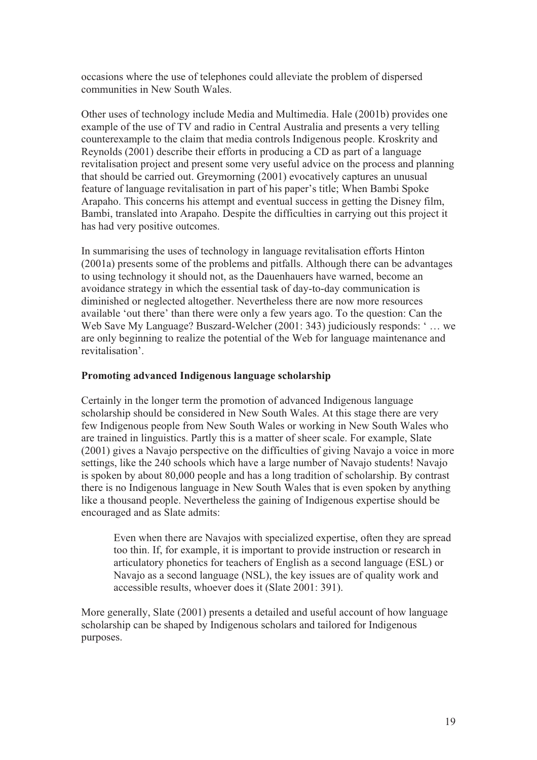occasions where the use of telephones could alleviate the problem of dispersed communities in New South Wales.

Other uses of technology include Media and Multimedia. Hale (2001b) provides one example of the use of TV and radio in Central Australia and presents a very telling counterexample to the claim that media controls Indigenous people. Kroskrity and Reynolds (2001) describe their efforts in producing a CD as part of a language revitalisation project and present some very useful advice on the process and planning that should be carried out. Greymorning (2001) evocatively captures an unusual feature of language revitalisation in part of his paper's title; When Bambi Spoke Arapaho. This concerns his attempt and eventual success in getting the Disney film, Bambi, translated into Arapaho. Despite the difficulties in carrying out this project it has had very positive outcomes.

In summarising the uses of technology in language revitalisation efforts Hinton (2001a) presents some of the problems and pitfalls. Although there can be advantages to using technology it should not, as the Dauenhauers have warned, become an avoidance strategy in which the essential task of day-to-day communication is diminished or neglected altogether. Nevertheless there are now more resources available 'out there' than there were only a few years ago. To the question: Can the Web Save My Language? Buszard-Welcher (2001: 343) judiciously responds: ' … we are only beginning to realize the potential of the Web for language maintenance and revitalisation'.

# Promoting advanced Indigenous language scholarship

Certainly in the longer term the promotion of advanced Indigenous language scholarship should be considered in New South Wales. At this stage there are very few Indigenous people from New South Wales or working in New South Wales who are trained in linguistics. Partly this is a matter of sheer scale. For example, Slate (2001) gives a Navajo perspective on the difficulties of giving Navajo a voice in more settings, like the 240 schools which have a large number of Navajo students! Navajo is spoken by about 80,000 people and has a long tradition of scholarship. By contrast there is no Indigenous language in New South Wales that is even spoken by anything like a thousand people. Nevertheless the gaining of Indigenous expertise should be encouraged and as Slate admits:

Even when there are Navajos with specialized expertise, often they are spread too thin. If, for example, it is important to provide instruction or research in articulatory phonetics for teachers of English as a second language (ESL) or Navajo as a second language (NSL), the key issues are of quality work and accessible results, whoever does it (Slate 2001: 391).

More generally, Slate (2001) presents a detailed and useful account of how language scholarship can be shaped by Indigenous scholars and tailored for Indigenous purposes.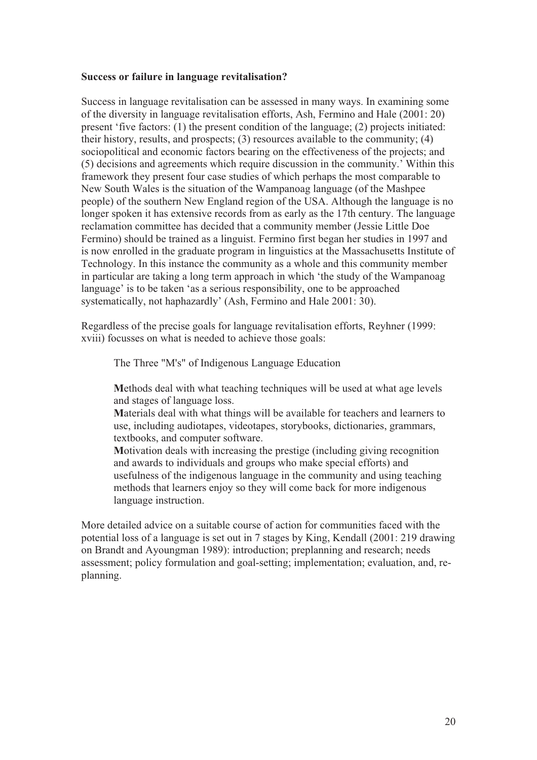#### Success or failure in language revitalisation?

Success in language revitalisation can be assessed in many ways. In examining some of the diversity in language revitalisation efforts, Ash, Fermino and Hale (2001: 20) present 'five factors: (1) the present condition of the language; (2) projects initiated: their history, results, and prospects; (3) resources available to the community; (4) sociopolitical and economic factors bearing on the effectiveness of the projects; and (5) decisions and agreements which require discussion in the community.' Within this framework they present four case studies of which perhaps the most comparable to New South Wales is the situation of the Wampanoag language (of the Mashpee people) of the southern New England region of the USA. Although the language is no longer spoken it has extensive records from as early as the 17th century. The language reclamation committee has decided that a community member (Jessie Little Doe Fermino) should be trained as a linguist. Fermino first began her studies in 1997 and is now enrolled in the graduate program in linguistics at the Massachusetts Institute of Technology. In this instance the community as a whole and this community member in particular are taking a long term approach in which 'the study of the Wampanoag language' is to be taken 'as a serious responsibility, one to be approached systematically, not haphazardly' (Ash, Fermino and Hale 2001: 30).

Regardless of the precise goals for language revitalisation efforts, Reyhner (1999: xviii) focusses on what is needed to achieve those goals:

The Three "M's" of Indigenous Language Education

Methods deal with what teaching techniques will be used at what age levels and stages of language loss.

Materials deal with what things will be available for teachers and learners to use, including audiotapes, videotapes, storybooks, dictionaries, grammars, textbooks, and computer software.

Motivation deals with increasing the prestige (including giving recognition and awards to individuals and groups who make special efforts) and usefulness of the indigenous language in the community and using teaching methods that learners enjoy so they will come back for more indigenous language instruction.

More detailed advice on a suitable course of action for communities faced with the potential loss of a language is set out in 7 stages by King, Kendall (2001: 219 drawing on Brandt and Ayoungman 1989): introduction; preplanning and research; needs assessment; policy formulation and goal-setting; implementation; evaluation, and, replanning.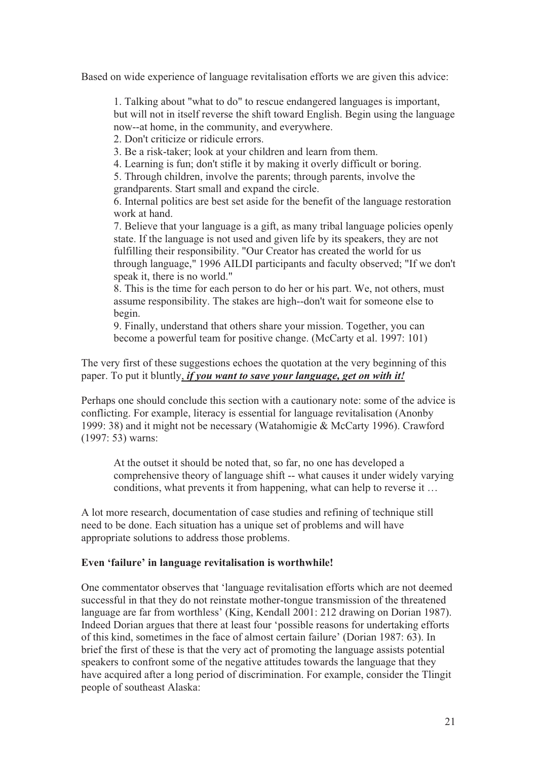Based on wide experience of language revitalisation efforts we are given this advice:

1. Talking about "what to do" to rescue endangered languages is important, but will not in itself reverse the shift toward English. Begin using the language now--at home, in the community, and everywhere.

2. Don't criticize or ridicule errors.

3. Be a risk-taker; look at your children and learn from them.

4. Learning is fun; don't stifle it by making it overly difficult or boring.

5. Through children, involve the parents; through parents, involve the grandparents. Start small and expand the circle.

6. Internal politics are best set aside for the benefit of the language restoration work at hand.

7. Believe that your language is a gift, as many tribal language policies openly state. If the language is not used and given life by its speakers, they are not fulfilling their responsibility. "Our Creator has created the world for us through language," 1996 AILDI participants and faculty observed; "If we don't speak it, there is no world."

8. This is the time for each person to do her or his part. We, not others, must assume responsibility. The stakes are high--don't wait for someone else to begin.

9. Finally, understand that others share your mission. Together, you can become a powerful team for positive change. (McCarty et al. 1997: 101)

The very first of these suggestions echoes the quotation at the very beginning of this paper. To put it bluntly, *if you want to save your language*, *get on with it!* 

Perhaps one should conclude this section with a cautionary note: some of the advice is conflicting. For example, literacy is essential for language revitalisation (Anonby 1999: 38) and it might not be necessary (Watahomigie & McCarty 1996). Crawford (1997: 53) warns:

At the outset it should be noted that, so far, no one has developed a comprehensive theory of language shift -- what causes it under widely varying conditions, what prevents it from happening, what can help to reverse it …

A lot more research, documentation of case studies and refining of technique still need to be done. Each situation has a unique set of problems and will have appropriate solutions to address those problems.

# Even 'failure' in language revitalisation is worthwhile!

One commentator observes that 'language revitalisation efforts which are not deemed successful in that they do not reinstate mother-tongue transmission of the threatened language are far from worthless' (King, Kendall 2001: 212 drawing on Dorian 1987). Indeed Dorian argues that there at least four 'possible reasons for undertaking efforts of this kind, sometimes in the face of almost certain failure' (Dorian 1987: 63). In brief the first of these is that the very act of promoting the language assists potential speakers to confront some of the negative attitudes towards the language that they have acquired after a long period of discrimination. For example, consider the Tlingit people of southeast Alaska: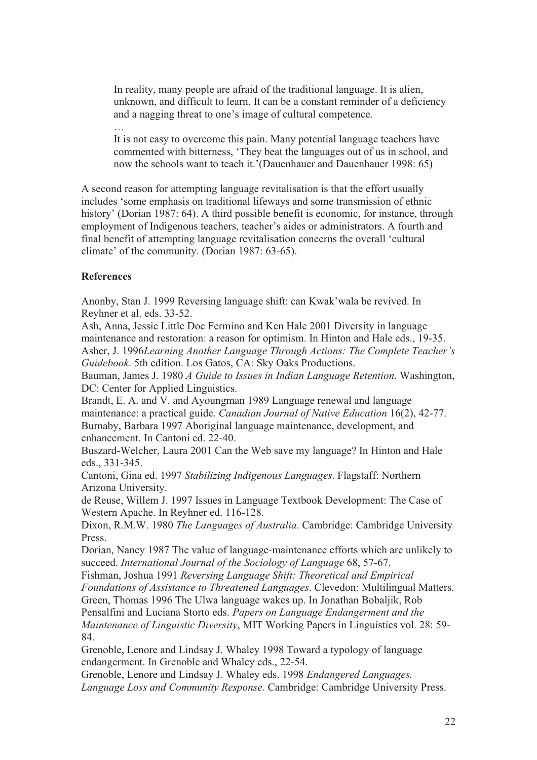In reality, many people are afraid of the traditional language. It is alien, unknown, and difficult to learn. It can be a constant reminder of a deficiency and a nagging threat to one's image of cultural competence.

… It is not easy to overcome this pain. Many potential language teachers have commented with bitterness, 'They beat the languages out of us in school, and now the schools want to teach it.'(Dauenhauer and Dauenhauer 1998: 65)

A second reason for attempting language revitalisation is that the effort usually includes 'some emphasis on traditional lifeways and some transmission of ethnic history' (Dorian 1987: 64). A third possible benefit is economic, for instance, through employment of Indigenous teachers, teacher's aides or administrators. A fourth and final benefit of attempting language revitalisation concerns the overall 'cultural climate' of the community. (Dorian 1987: 63-65).

# References

Anonby, Stan J. 1999 Reversing language shift: can Kwak'wala be revived. In Reyhner et al. eds. 33-52.

Ash, Anna, Jessie Little Doe Fermino and Ken Hale 2001 Diversity in language maintenance and restoration: a reason for optimism. In Hinton and Hale eds., 19-35. Asher, J. 1996Learning Another Language Through Actions: The Complete Teacher's Guidebook. 5th edition. Los Gatos, CA: Sky Oaks Productions.

Bauman, James J. 1980 A Guide to Issues in Indian Language Retention. Washington, DC: Center for Applied Linguistics.

Brandt, E. A. and V. and Ayoungman 1989 Language renewal and language maintenance: a practical guide. Canadian Journal of Native Education 16(2), 42-77. Burnaby, Barbara 1997 Aboriginal language maintenance, development, and enhancement. In Cantoni ed. 22-40.

Buszard-Welcher, Laura 2001 Can the Web save my language? In Hinton and Hale eds., 331-345.

Cantoni, Gina ed. 1997 Stabilizing Indigenous Languages. Flagstaff: Northern Arizona University.

de Reuse, Willem J. 1997 Issues in Language Textbook Development: The Case of Western Apache. In Reyhner ed. 116-128.

Dixon, R.M.W. 1980 The Languages of Australia. Cambridge: Cambridge University Press.

Dorian, Nancy 1987 The value of language-maintenance efforts which are unlikely to succeed. International Journal of the Sociology of Language 68, 57-67.

Fishman, Joshua 1991 Reversing Language Shift: Theoretical and Empirical

Foundations of Assistance to Threatened Languages. Clevedon: Multilingual Matters.

Green, Thomas 1996 The Ulwa language wakes up. In Jonathan Bobaljik, Rob Pensalfini and Luciana Storto eds. Papers on Language Endangerment and the

Maintenance of Linguistic Diversity, MIT Working Papers in Linguistics vol. 28: 59- 84.

Grenoble, Lenore and Lindsay J. Whaley 1998 Toward a typology of language endangerment. In Grenoble and Whaley eds., 22-54.

Grenoble, Lenore and Lindsay J. Whaley eds. 1998 Endangered Languages. Language Loss and Community Response. Cambridge: Cambridge University Press.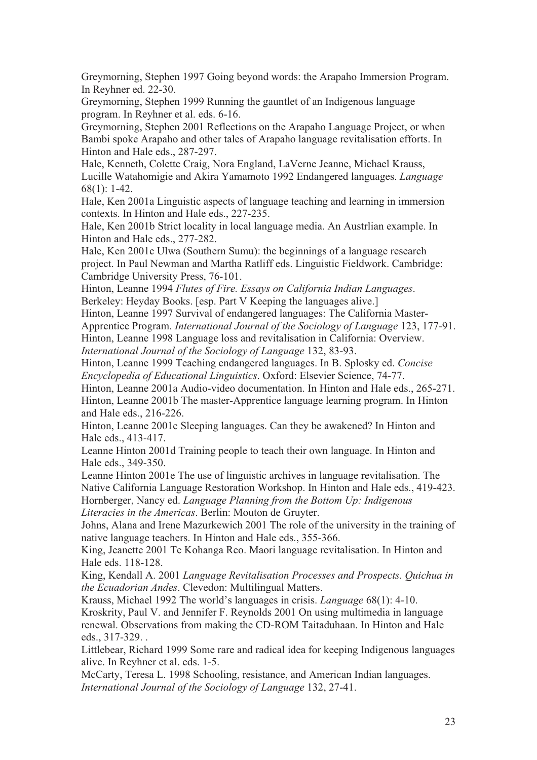Greymorning, Stephen 1997 Going beyond words: the Arapaho Immersion Program. In Reyhner ed. 22-30.

Greymorning, Stephen 1999 Running the gauntlet of an Indigenous language program. In Reyhner et al. eds. 6-16.

Greymorning, Stephen 2001 Reflections on the Arapaho Language Project, or when Bambi spoke Arapaho and other tales of Arapaho language revitalisation efforts. In Hinton and Hale eds., 287-297.

Hale, Kenneth, Colette Craig, Nora England, LaVerne Jeanne, Michael Krauss, Lucille Watahomigie and Akira Yamamoto 1992 Endangered languages. Language 68(1): 1-42.

Hale, Ken 2001a Linguistic aspects of language teaching and learning in immersion contexts. In Hinton and Hale eds., 227-235.

Hale, Ken 2001b Strict locality in local language media. An Austrlian example. In Hinton and Hale eds., 277-282.

Hale, Ken 2001c Ulwa (Southern Sumu): the beginnings of a language research project. In Paul Newman and Martha Ratliff eds. Linguistic Fieldwork. Cambridge: Cambridge University Press, 76-101.

Hinton, Leanne 1994 Flutes of Fire. Essays on California Indian Languages. Berkeley: Heyday Books. [esp. Part V Keeping the languages alive.]

Hinton, Leanne 1997 Survival of endangered languages: The California Master-

Apprentice Program. International Journal of the Sociology of Language 123, 177-91.

Hinton, Leanne 1998 Language loss and revitalisation in California: Overview. International Journal of the Sociology of Language 132, 83-93.

Hinton, Leanne 1999 Teaching endangered languages. In B. Splosky ed. Concise Encyclopedia of Educational Linguistics. Oxford: Elsevier Science, 74-77.

Hinton, Leanne 2001a Audio-video documentation. In Hinton and Hale eds., 265-271. Hinton, Leanne 2001b The master-Apprentice language learning program. In Hinton and Hale eds., 216-226.

Hinton, Leanne 2001c Sleeping languages. Can they be awakened? In Hinton and Hale eds., 413-417.

Leanne Hinton 2001d Training people to teach their own language. In Hinton and Hale eds., 349-350.

Leanne Hinton 2001e The use of linguistic archives in language revitalisation. The Native California Language Restoration Workshop. In Hinton and Hale eds., 419-423. Hornberger, Nancy ed. Language Planning from the Bottom Up: Indigenous Literacies in the Americas. Berlin: Mouton de Gruyter.

Johns, Alana and Irene Mazurkewich 2001 The role of the university in the training of native language teachers. In Hinton and Hale eds., 355-366.

King, Jeanette 2001 Te Kohanga Reo. Maori language revitalisation. In Hinton and Hale eds. 118-128.

King, Kendall A. 2001 Language Revitalisation Processes and Prospects. Quichua in the Ecuadorian Andes. Clevedon: Multilingual Matters.

Krauss, Michael 1992 The world's languages in crisis. Language 68(1): 4-10. Kroskrity, Paul V. and Jennifer F. Reynolds 2001 On using multimedia in language renewal. Observations from making the CD-ROM Taitaduhaan. In Hinton and Hale eds., 317-329. .

Littlebear, Richard 1999 Some rare and radical idea for keeping Indigenous languages alive. In Reyhner et al. eds. 1-5.

McCarty, Teresa L. 1998 Schooling, resistance, and American Indian languages. International Journal of the Sociology of Language 132, 27-41.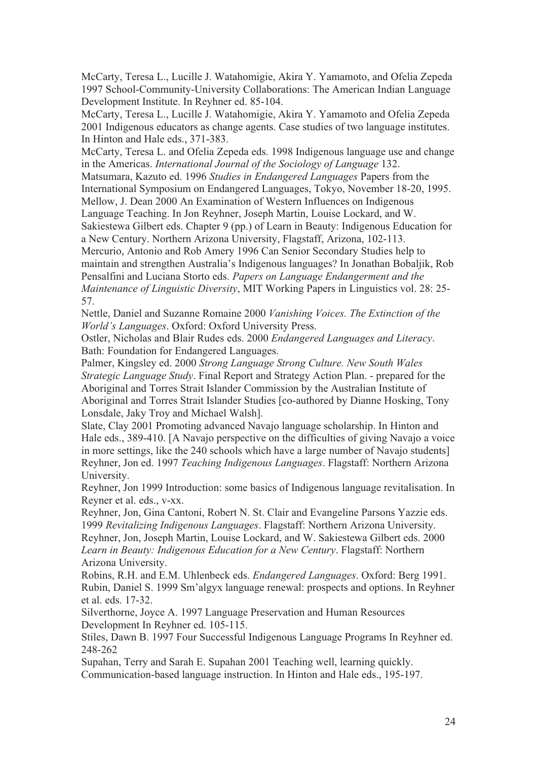McCarty, Teresa L., Lucille J. Watahomigie, Akira Y. Yamamoto, and Ofelia Zepeda 1997 School-Community-University Collaborations: The American Indian Language Development Institute. In Reyhner ed. 85-104.

McCarty, Teresa L., Lucille J. Watahomigie, Akira Y. Yamamoto and Ofelia Zepeda 2001 Indigenous educators as change agents. Case studies of two language institutes. In Hinton and Hale eds., 371-383.

McCarty, Teresa L. and Ofelia Zepeda eds. 1998 Indigenous language use and change in the Americas. International Journal of the Sociology of Language 132.

Matsumara, Kazuto ed. 1996 Studies in Endangered Languages Papers from the International Symposium on Endangered Languages, Tokyo, November 18-20, 1995.

Mellow, J. Dean 2000 An Examination of Western Influences on Indigenous

Language Teaching. In Jon Reyhner, Joseph Martin, Louise Lockard, and W.

Sakiestewa Gilbert eds. Chapter 9 (pp.) of Learn in Beauty: Indigenous Education for a New Century. Northern Arizona University, Flagstaff, Arizona, 102-113.

Mercurio, Antonio and Rob Amery 1996 Can Senior Secondary Studies help to maintain and strengthen Australia's Indigenous languages? In Jonathan Bobaljik, Rob Pensalfini and Luciana Storto eds. Papers on Language Endangerment and the Maintenance of Linguistic Diversity, MIT Working Papers in Linguistics vol. 28: 25- 57.

Nettle, Daniel and Suzanne Romaine 2000 Vanishing Voices. The Extinction of the World's Languages. Oxford: Oxford University Press.

Ostler, Nicholas and Blair Rudes eds. 2000 Endangered Languages and Literacy. Bath: Foundation for Endangered Languages.

Palmer, Kingsley ed. 2000 Strong Language Strong Culture. New South Wales Strategic Language Study. Final Report and Strategy Action Plan. - prepared for the Aboriginal and Torres Strait Islander Commission by the Australian Institute of Aboriginal and Torres Strait Islander Studies [co-authored by Dianne Hosking, Tony Lonsdale, Jaky Troy and Michael Walsh].

Slate, Clay 2001 Promoting advanced Navajo language scholarship. In Hinton and Hale eds., 389-410. [A Navajo perspective on the difficulties of giving Navajo a voice in more settings, like the 240 schools which have a large number of Navajo students] Reyhner, Jon ed. 1997 Teaching Indigenous Languages. Flagstaff: Northern Arizona University.

Reyhner, Jon 1999 Introduction: some basics of Indigenous language revitalisation. In Reyner et al. eds., v-xx.

Reyhner, Jon, Gina Cantoni, Robert N. St. Clair and Evangeline Parsons Yazzie eds. 1999 Revitalizing Indigenous Languages. Flagstaff: Northern Arizona University. Reyhner, Jon, Joseph Martin, Louise Lockard, and W. Sakiestewa Gilbert eds. 2000 Learn in Beauty: Indigenous Education for a New Century. Flagstaff: Northern Arizona University.

Robins, R.H. and E.M. Uhlenbeck eds. Endangered Languages. Oxford: Berg 1991. Rubin, Daniel S. 1999 Sm'algyx language renewal: prospects and options. In Reyhner et al. eds. 17-32.

Silverthorne, Joyce A. 1997 Language Preservation and Human Resources Development In Reyhner ed. 105-115.

Stiles, Dawn B. 1997 Four Successful Indigenous Language Programs In Reyhner ed. 248-262

Supahan, Terry and Sarah E. Supahan 2001 Teaching well, learning quickly. Communication-based language instruction. In Hinton and Hale eds., 195-197.